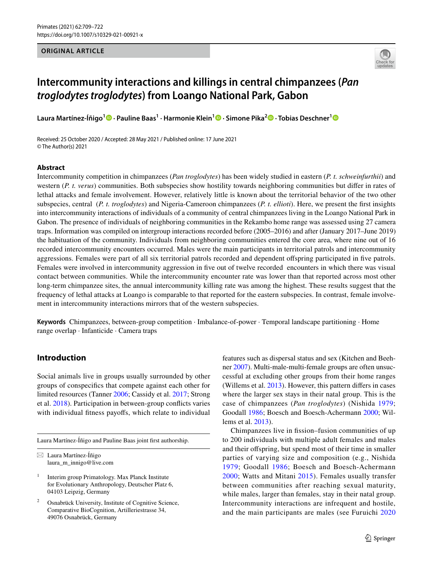### **ORIGINAL ARTICLE**



# **Intercommunity interactions and killings in central chimpanzees (***Pan troglodytes troglodytes***) from Loango National Park, Gabon**

**Laura Martínez‑Íñigo1 · Pauline Baas1 · Harmonie Klein[1](http://orcid.org/0000-0003-1925-5049) · Simone Pika2  [·](http://orcid.org/0000-0002-4398-2337) Tobias Deschner[1](http://orcid.org/0000-0002-9873-316X)**

Received: 25 October 2020 / Accepted: 28 May 2021 / Published online: 17 June 2021 © The Author(s) 2021

#### **Abstract**

Intercommunity competition in chimpanzees (*Pan troglodytes*) has been widely studied in eastern (*P. t. schweinfurthii*) and western (*P. t. verus*) communities. Both subspecies show hostility towards neighboring communities but difer in rates of lethal attacks and female involvement. However, relatively little is known about the territorial behavior of the two other subspecies, central (*P. t. troglodytes*) and Nigeria-Cameroon chimpanzees (*P. t. ellioti*). Here, we present the frst insights into intercommunity interactions of individuals of a community of central chimpanzees living in the Loango National Park in Gabon. The presence of individuals of neighboring communities in the Rekambo home range was assessed using 27 camera traps. Information was compiled on intergroup interactions recorded before (2005–2016) and after (January 2017–June 2019) the habituation of the community. Individuals from neighboring communities entered the core area, where nine out of 16 recorded intercommunity encounters occurred. Males were the main participants in territorial patrols and intercommunity aggressions. Females were part of all six territorial patrols recorded and dependent ofspring participated in fve patrols. Females were involved in intercommunity aggression in fve out of twelve recorded encounters in which there was visual contact between communities. While the intercommunity encounter rate was lower than that reported across most other long-term chimpanzee sites, the annual intercommunity killing rate was among the highest. These results suggest that the frequency of lethal attacks at Loango is comparable to that reported for the eastern subspecies. In contrast, female involvement in intercommunity interactions mirrors that of the western subspecies.

**Keywords** Chimpanzees, between-group competition · Imbalance-of-power · Temporal landscape partitioning · Home range overlap · Infanticide · Camera traps

# **Introduction**

Social animals live in groups usually surrounded by other groups of conspecifcs that compete against each other for limited resources (Tanner [2006](#page-13-0); Cassidy et al. [2017](#page-12-0); Strong et al. [2018\)](#page-13-1). Participation in between-group conficts varies with individual fitness payoffs, which relate to individual

Laura Martínez-Íñigo and Pauline Baas joint frst authorship.

 $\boxtimes$  Laura Martínez-Íñigo laura\_m\_innigo@live.com

<sup>1</sup> Interim group Primatology. Max Planck Institute for Evolutionary Anthropology, Deutscher Platz 6, 04103 Leipzig, Germany

Osnabrück University, Institute of Cognitive Science, Comparative BioCognition, Artilleriestrasse 34, 49076 Osnabrück, Germany

features such as dispersal status and sex (Kitchen and Beehner [2007](#page-12-1)). Multi-male-multi-female groups are often unsuccessful at excluding other groups from their home ranges (Willems et al. [2013\)](#page-13-2). However, this pattern difers in cases where the larger sex stays in their natal group. This is the case of chimpanzees (*Pan troglodytes*) (Nishida [1979](#page-12-2); Goodall [1986;](#page-12-3) Boesch and Boesch-Achermann [2000](#page-12-4); Willems et al. [2013\)](#page-13-2).

Chimpanzees live in fssion–fusion communities of up to 200 individuals with multiple adult females and males and their ofspring, but spend most of their time in smaller parties of varying size and composition (e.g., Nishida [1979;](#page-12-2) Goodall [1986](#page-12-3); Boesch and Boesch-Achermann [2000](#page-12-4); Watts and Mitani [2015](#page-13-3)). Females usually transfer between communities after reaching sexual maturity, while males, larger than females, stay in their natal group. Intercommunity interactions are infrequent and hostile, and the main participants are males (see Furuichi [2020](#page-12-5)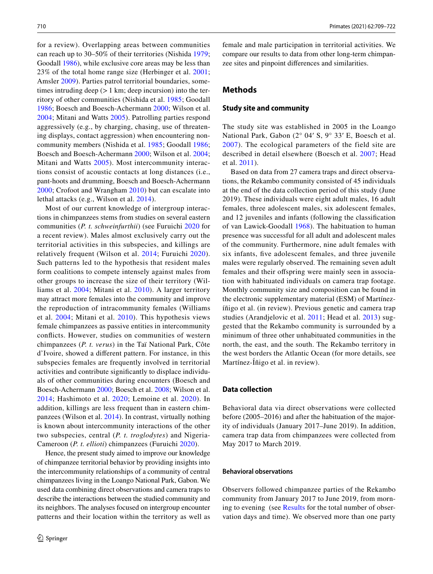for a review). Overlapping areas between communities can reach up to 30–50% of their territories (Nishida [1979](#page-12-2); Goodall [1986](#page-12-3)), while exclusive core areas may be less than 23% of the total home range size (Herbinger et al. [2001](#page-12-6); Amsler [2009\)](#page-12-7). Parties patrol territorial boundaries, sometimes intruding deep  $(>1 \text{ km})$ ; deep incursion) into the territory of other communities (Nishida et al. [1985](#page-12-8); Goodall [1986;](#page-12-3) Boesch and Boesch-Achermann [2000;](#page-12-4) Wilson et al. [2004;](#page-13-4) Mitani and Watts [2005\)](#page-12-9). Patrolling parties respond aggressively (e.g., by charging, chasing, use of threatening displays, contact aggression) when encountering noncommunity members (Nishida et al. [1985;](#page-12-8) Goodall [1986](#page-12-3); Boesch and Boesch-Achermann [2000;](#page-12-4) Wilson et al. [2004](#page-13-4); Mitani and Watts [2005](#page-12-9)). Most intercommunity interactions consist of acoustic contacts at long distances (i.e., pant-hoots and drumming, Boesch and Boesch-Achermann [2000;](#page-12-4) Crofoot and Wrangham [2010](#page-12-10)) but can escalate into lethal attacks (e.g., Wilson et al. [2014\)](#page-13-5).

Most of our current knowledge of intergroup interactions in chimpanzees stems from studies on several eastern communities (*P. t. schweinfurthii*) (see Furuichi [2020](#page-12-5) for a recent review). Males almost exclusively carry out the territorial activities in this subspecies, and killings are relatively frequent (Wilson et al. [2014](#page-13-5); Furuichi [2020\)](#page-12-5). Such patterns led to the hypothesis that resident males form coalitions to compete intensely against males from other groups to increase the size of their territory (Williams et al. [2004;](#page-13-6) Mitani et al. [2010\)](#page-12-11). A larger territory may attract more females into the community and improve the reproduction of intracommunity females (Williams et al. [2004;](#page-13-6) Mitani et al. [2010](#page-12-11)). This hypothesis views female chimpanzees as passive entities in intercommunity conficts. However, studies on communities of western chimpanzees (*P. t. verus*) in the Taï National Park, Côte d'Ivoire, showed a diferent pattern. For instance, in this subspecies females are frequently involved in territorial activities and contribute signifcantly to displace individuals of other communities during encounters (Boesch and Boesch-Achermann [2000;](#page-12-4) Boesch et al. [2008;](#page-12-12) Wilson et al. [2014](#page-13-5); Hashimoto et al. [2020;](#page-12-13) Lemoine et al. [2020\)](#page-12-14). In addition, killings are less frequent than in eastern chimpanzees (Wilson et al. [2014\)](#page-13-5). In contrast, virtually nothing is known about intercommunity interactions of the other two subspecies, central (*P. t. troglodytes*) and Nigeria-Cameroon (*P. t. ellioti*) chimpanzees (Furuichi [2020](#page-12-5)).

Hence, the present study aimed to improve our knowledge of chimpanzee territorial behavior by providing insights into the intercommunity relationships of a community of central chimpanzees living in the Loango National Park, Gabon. We used data combining direct observations and camera traps to describe the interactions between the studied community and its neighbors. The analyses focused on intergroup encounter patterns and their location within the territory as well as female and male participation in territorial activities. We compare our results to data from other long-term chimpanzee sites and pinpoint diferences and similarities.

### **Methods**

#### **Study site and community**

The study site was established in 2005 in the Loango National Park, Gabon (2° 04′ S, 9° 33′ E, Boesch et al. [2007\)](#page-12-15). The ecological parameters of the field site are described in detail elsewhere (Boesch et al. [2007](#page-12-15); Head et al. [2011\)](#page-12-16).

Based on data from 27 camera traps and direct observations, the Rekambo community consisted of 45 individuals at the end of the data collection period of this study (June 2019). These individuals were eight adult males, 16 adult females, three adolescent males, six adolescent females, and 12 juveniles and infants (following the classifcation of van Lawick-Goodall [1968\)](#page-13-7). The habituation to human presence was successful for all adult and adolescent males of the community. Furthermore, nine adult females with six infants, fve adolescent females, and three juvenile males were regularly observed. The remaining seven adult females and their offspring were mainly seen in association with habituated individuals on camera trap footage. Monthly community size and composition can be found in the electronic supplementary material (ESM) of Martínezíñigo et al. (in review). Previous genetic and camera trap studies (Arandjelovic et al. [2011](#page-12-17); Head et al. [2013\)](#page-12-18) suggested that the Rekambo community is surrounded by a minimum of three other unhabituated communities in the north, the east, and the south. The Rekambo territory in the west borders the Atlantic Ocean (for more details, see Martínez-Íñigo et al. in review).

#### **Data collection**

Behavioral data via direct observations were collected before (2005–2016) and after the habituation of the majority of individuals (January 2017–June 2019). In addition, camera trap data from chimpanzees were collected from May 2017 to March 2019.

#### **Behavioral observations**

Observers followed chimpanzee parties of the Rekambo community from January 2017 to June 2019, from morning to evening (see [Results](#page-2-0) for the total number of observation days and time). We observed more than one party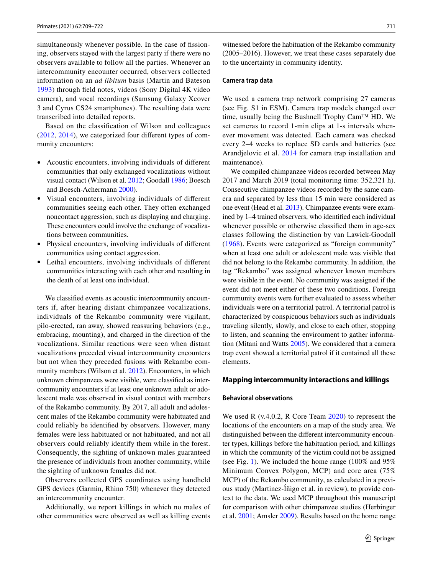simultaneously whenever possible. In the case of fissioning, observers stayed with the largest party if there were no observers available to follow all the parties. Whenever an intercommunity encounter occurred, observers collected information on an *ad libitum* basis (Martin and Bateson [1993\)](#page-12-19) through feld notes, videos (Sony Digital 4K video camera), and vocal recordings (Samsung Galaxy Xcover 3 and Cyrus CS24 smartphones). The resulting data were transcribed into detailed reports.

Based on the classifcation of Wilson and colleagues [\(2012,](#page-13-8) [2014\)](#page-13-5), we categorized four diferent types of community encounters:

- Acoustic encounters, involving individuals of diferent communities that only exchanged vocalizations without visual contact (Wilson et al. [2012](#page-13-8); Goodall [1986](#page-12-3); Boesch and Boesch-Achermann [2000\)](#page-12-4).
- Visual encounters, involving individuals of diferent communities seeing each other. They often exchanged noncontact aggression, such as displaying and charging. These encounters could involve the exchange of vocalizations between communities.
- Physical encounters, involving individuals of diferent communities using contact aggression.
- Lethal encounters, involving individuals of diferent communities interacting with each other and resulting in the death of at least one individual.

We classifed events as acoustic intercommunity encounters if, after hearing distant chimpanzee vocalizations, individuals of the Rekambo community were vigilant, pilo-erected, ran away, showed reassuring behaviors (e.g., embracing, mounting), and charged in the direction of the vocalizations. Similar reactions were seen when distant vocalizations preceded visual intercommunity encounters but not when they preceded fusions with Rekambo community members (Wilson et al. [2012\)](#page-13-8). Encounters, in which unknown chimpanzees were visible, were classifed as intercommunity encounters if at least one unknown adult or adolescent male was observed in visual contact with members of the Rekambo community. By 2017, all adult and adolescent males of the Rekambo community were habituated and could reliably be identifed by observers. However, many females were less habituated or not habituated, and not all observers could reliably identify them while in the forest. Consequently, the sighting of unknown males guaranteed the presence of individuals from another community, while the sighting of unknown females did not.

Observers collected GPS coordinates using handheld GPS devices (Garmin, Rhino 750) whenever they detected an intercommunity encounter.

Additionally, we report killings in which no males of other communities were observed as well as killing events

witnessed before the habituation of the Rekambo community (2005–2016). However, we treat these cases separately due to the uncertainty in community identity.

#### **Camera trap data**

We used a camera trap network comprising 27 cameras (see Fig. S1 in ESM). Camera trap models changed over time, usually being the Bushnell Trophy Cam™ HD. We set cameras to record 1-min clips at 1-s intervals whenever movement was detected. Each camera was checked every 2–4 weeks to replace SD cards and batteries (see Arandjelovic et al. [2014](#page-12-20) for camera trap installation and maintenance).

We compiled chimpanzee videos recorded between May 2017 and March 2019 (total monitoring time: 352,321 h). Consecutive chimpanzee videos recorded by the same camera and separated by less than 15 min were considered as one event (Head et al. [2013](#page-12-18)). Chimpanzee events were examined by 1–4 trained observers, who identifed each individual whenever possible or otherwise classifed them in age-sex classes following the distinction by van Lawick-Goodall ([1968](#page-13-7)). Events were categorized as "foreign community" when at least one adult or adolescent male was visible that did not belong to the Rekambo community. In addition, the tag "Rekambo" was assigned whenever known members were visible in the event. No community was assigned if the event did not meet either of these two conditions. Foreign community events were further evaluated to assess whether individuals were on a territorial patrol. A territorial patrol is characterized by conspicuous behaviors such as individuals traveling silently, slowly, and close to each other, stopping to listen, and scanning the environment to gather information (Mitani and Watts [2005\)](#page-12-9). We considered that a camera trap event showed a territorial patrol if it contained all these elements.

#### <span id="page-2-0"></span>**Mapping intercommunity interactions and killings**

#### **Behavioral observations**

We used R (v.4.0.2, R Core Team [2020](#page-12-21)) to represent the locations of the encounters on a map of the study area. We distinguished between the diferent intercommunity encounter types, killings before the habituation period, and killings in which the community of the victim could not be assigned (see Fig. [1\)](#page-3-0). We included the home range (100% and 95% Minimum Convex Polygon, MCP) and core area (75% MCP) of the Rekambo community, as calculated in a previous study (Martinez-Íñigo et al. in review), to provide context to the data. We used MCP throughout this manuscript for comparison with other chimpanzee studies (Herbinger et al. [2001;](#page-12-6) Amsler [2009](#page-12-7)). Results based on the home range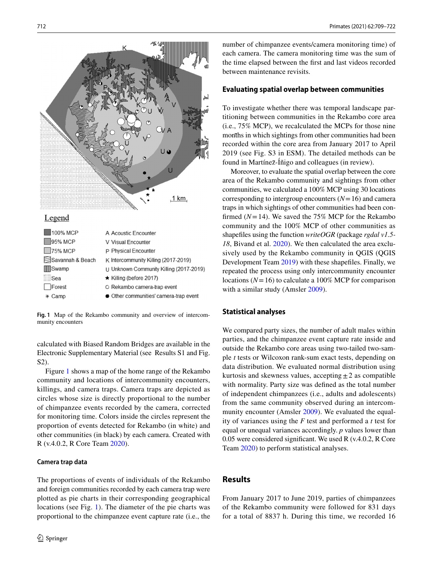

<span id="page-3-0"></span>**Fig. 1** Map of the Rekambo community and overview of intercommunity encounters

calculated with Biased Random Bridges are available in the Electronic Supplementary Material (see Results S1 and Fig. S2).

Figure [1](#page-3-0) shows a map of the home range of the Rekambo community and locations of intercommunity encounters, killings, and camera traps. Camera traps are depicted as circles whose size is directly proportional to the number of chimpanzee events recorded by the camera, corrected for monitoring time. Colors inside the circles represent the proportion of events detected for Rekambo (in white) and other communities (in black) by each camera. Created with R (v.4.0.2, R Core Team [2020](#page-12-21)).

#### **Camera trap data**

The proportions of events of individuals of the Rekambo and foreign communities recorded by each camera trap were plotted as pie charts in their corresponding geographical locations (see Fig. [1\)](#page-3-0). The diameter of the pie charts was proportional to the chimpanzee event capture rate (i.e., the number of chimpanzee events/camera monitoring time) of each camera. The camera monitoring time was the sum of the time elapsed between the frst and last videos recorded between maintenance revisits.

### **Evaluating spatial overlap between communities**

To investigate whether there was temporal landscape partitioning between communities in the Rekambo core area (i.e., 75% MCP), we recalculated the MCPs for those nine months in which sightings from other communities had been recorded within the core area from January 2017 to April 2019 (see Fig. S3 in ESM). The detailed methods can be found in Martínez-Íñigo and colleagues (in review).

Moreover, to evaluate the spatial overlap between the core area of the Rekambo community and sightings from other communities, we calculated a 100% MCP using 30 locations corresponding to intergroup encounters  $(N=16)$  and camera traps in which sightings of other communities had been confirmed  $(N=14)$ . We saved the 75% MCP for the Rekambo community and the 100% MCP of other communities as shapefles using the function *writeOGR* (package *rgdal v1.5- 18*, Bivand et al. [2020\)](#page-12-22). We then calculated the area exclusively used by the Rekambo community in QGIS (QGIS Development Team [2019\)](#page-12-23) with these shapefles. Finally, we repeated the process using only intercommunity encounter locations ( $N=16$ ) to calculate a 100% MCP for comparison with a similar study (Amsler [2009](#page-12-7)).

### **Statistical analyses**

We compared party sizes, the number of adult males within parties, and the chimpanzee event capture rate inside and outside the Rekambo core areas using two-tailed two-sample *t* tests or Wilcoxon rank-sum exact tests, depending on data distribution. We evaluated normal distribution using kurtosis and skewness values, accepting  $\pm 2$  as compatible with normality. Party size was defned as the total number of independent chimpanzees (i.e., adults and adolescents) from the same community observed during an intercommunity encounter (Amsler [2009](#page-12-7)). We evaluated the equality of variances using the *F* test and performed a *t* test for equal or unequal variances accordingly. *p* values lower than 0.05 were considered signifcant. We used R (v.4.0.2, R Core Team [2020](#page-12-21)) to perform statistical analyses.

# **Results**

From January 2017 to June 2019, parties of chimpanzees of the Rekambo community were followed for 831 days for a total of 8837 h. During this time, we recorded 16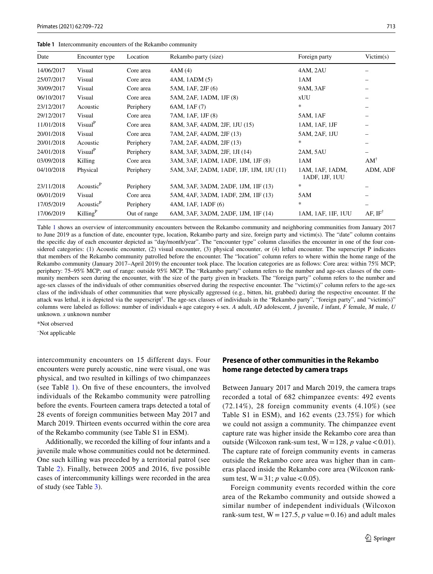<span id="page-4-0"></span>

|  | <b>Table 1</b> Intercommunity encounters of the Rekambo community |  |  |  |
|--|-------------------------------------------------------------------|--|--|--|
|--|-------------------------------------------------------------------|--|--|--|

| Date       | Encounter type        | Location     | Rekambo party (size)                     | Foreign party                     | Victim(s)              |
|------------|-----------------------|--------------|------------------------------------------|-----------------------------------|------------------------|
| 14/06/2017 | Visual                | Core area    | 4AM(4)                                   | 4AM, 2AU                          |                        |
| 25/07/2017 | Visual                | Core area    | 4AM, 1ADM (5)                            | 1AM                               |                        |
| 30/09/2017 | Visual                | Core area    | 5AM, 1AF, 2JF (6)                        | 9AM, 3AF                          |                        |
| 06/10/2017 | Visual                | Core area    | 5AM, 2AF, 1ADM, 1JF (8)                  | <b>xUU</b>                        |                        |
| 23/12/2017 | Acoustic              | Periphery    | 6AM, 1AF (7)                             | $\ast$                            |                        |
| 29/12/2017 | Visual                | Core area    | 7AM, 1AF, 1JF (8)                        | 5AM, 1AF                          |                        |
| 11/01/2018 | Visual <sup>P</sup>   | Core area    | 8AM, 3AF, 4ADM, 2JF, 1JU (15)            | 1AM, 1AF, 1JF                     |                        |
| 20/01/2018 | Visual                | Core area    | 7AM, 2AF, 4ADM, 2JF (13)                 | 5AM, 2AF, 1JU                     |                        |
| 20/01/2018 | Acoustic              | Periphery    | 7AM, 2AF, 4ADM, 2JF (13)                 | *                                 |                        |
| 24/01/2018 | Visual <sup>P</sup>   | Periphery    | 8AM, 3AF, 3ADM, 2JF, 1JI (14)            | 2AM, 5AU                          |                        |
| 03/09/2018 | Killing               | Core area    | 3AM, 3AF, 1ADM, 1ADF, 1JM, 1JF (8)       | 1AM                               | $AM^{\dagger}$         |
| 04/10/2018 | Physical              | Periphery    | 5AM, 3AF, 2ADM, 1ADF, 1JF, 1JM, 1JU (11) | 1AM, 1AF, 1ADM,<br>1ADF, 1JF, 1UU | ADM, ADF               |
| 23/11/2018 | Acoustic <sup>P</sup> | Periphery    | 5AM, 3AF, 3ADM, 2ADF, 1JM, 1IF (13)      | $\ast$                            |                        |
| 06/01/2019 | Visual                | Core area    | 5AM, 4AF, 3ADM, 1ADF, 2JM, 1IF (13)      | 5AM                               |                        |
| 17/05/2019 | Acoustic <sup>P</sup> | Periphery    | 4AM, 1AF, 1ADF (6)                       | $\ast$                            |                        |
| 17/06/2019 | Killing $P$           | Out of range | 6AM, 3AF, 3ADM, 2ADF, 1JM, 1IF (14)      | 1AM, 1AF, 1IF, 1UU                | $AF$ , IF <sup>†</sup> |

Table [1](#page-4-0) shows an overview of intercommunity encounters between the Rekambo community and neighboring communities from January 2017 to June 2019 as a function of date, encounter type, location, Rekambo party and size, foreign party and victim(s). The "date" column contains the specifc day of each encounter depicted as "day/month/year". The "encounter type" column classifes the encounter in one of the four considered categories: (1) Acoustic encounter, (2) visual encounter, (3) physical encounter, or (4) lethal encounter. The superscript P indicates that members of the Rekambo community patrolled before the encounter. The "location" column refers to where within the home range of the Rekambo community (January 2017–April 2019) the encounter took place. The location categories are as follows: Core area: within 75% MCP; periphery: 75–95% MCP; out of range: outside 95% MCP. The "Rekambo party" column refers to the number and age-sex classes of the community members seen during the encounter, with the size of the party given in brackets. The "foreign party" column refers to the number and age-sex classes of the individuals of other communities observed during the respective encounter. The "victim(s)" column refers to the age-sex class of the individuals of other communities that were physically aggressed (e.g., bitten, hit, grabbed) during the respective encounter. If the attack was lethal, it is depicted via the superscript<sup>†</sup>. The age-sex classes of individuals in the "Rekambo party", "foreign party", and "victim(s)" columns were labeled as follows: number of individuals+age category+sex. *A* adult, *AD* adolescent, *J* juvenile, *I* infant, *F* female, *M* male, *U* unknown. *x* unknown number

\*Not observed

– Not applicable

intercommunity encounters on 15 different days. Four encounters were purely acoustic, nine were visual, one was physical, and two resulted in killings of two chimpanzees (see Table $\overline{1}$ ). On five of these encounters, the involved individuals of the Rekambo community were patrolling before the events. Fourteen camera traps detected a total of 28 events of foreign communities between May 2017 and March 2019. Thirteen events occurred within the core area of the Rekambo community (see Table S1 in ESM).

Additionally, we recorded the killing of four infants and a juvenile male whose communities could not be determined. One such killing was preceded by a territorial patrol (see Table [2](#page-5-0)). Finally, between 2005 and 2016, fve possible cases of intercommunity killings were recorded in the area of study (see Table [3\)](#page-5-1).

# **Presence of other communities in the Rekambo home range detected by camera traps**

Between January 2017 and March 2019, the camera traps recorded a total of 682 chimpanzee events: 492 events (72.14%), 28 foreign community events (4.10%) (see Table S1 in ESM), and 162 events (23.75%) for which we could not assign a community. The chimpanzee event capture rate was higher inside the Rekambo core area than outside (Wilcoxon rank-sum test,  $W = 128$ , *p* value < 0.01). The capture rate of foreign community events in cameras outside the Rekambo core area was higher than in cameras placed inside the Rekambo core area (Wilcoxon ranksum test,  $W = 31$ ; *p* value < 0.05).

Foreign community events recorded within the core area of the Rekambo community and outside showed a similar number of independent individuals (Wilcoxon rank-sum test,  $W = 127.5$ , *p* value = 0.16) and adult males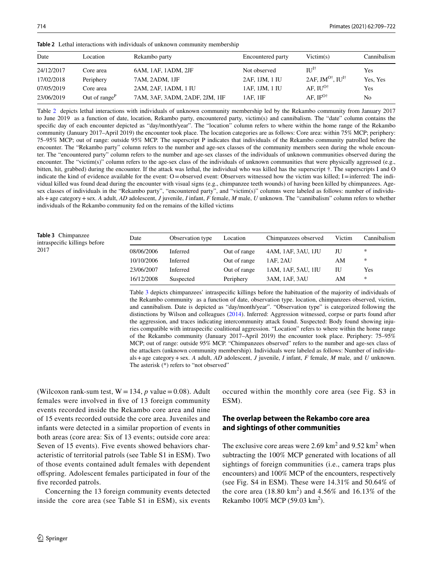| Date       | Location         | Rekambo party                  | <b>Encountered party</b> | Victim(s)                                        | Cannibalism |
|------------|------------------|--------------------------------|--------------------------|--------------------------------------------------|-------------|
| 24/12/2017 | Core area        | 6AM, 1AF, 1ADM, 2JF            | Not observed             | $\Pi$ <sup><math>\mathrm{I}^\dagger</math></sup> | Yes         |
| 17/02/2018 | Periphery        | 7AM, 2ADM, 1JF                 | 2AF, 1JM, 1 IU           | 2AF, JM <sup>O†</sup> , IU <sup>I†</sup>         | Yes, Yes    |
| 07/05/2019 | Core area        | 2AM, 2AF, 1ADM, 1 IU           | 1 AF, 1 JM, 1 IU         | AF. $IU^{O\dagger}$                              | <b>Yes</b>  |
| 23/06/2019 | Out of range $P$ | 7AM, 3AF, 3ADM, 2ADF, 2JM, 1IF | 1AF.1IF                  | AF. $IF^{O\dagger}$                              | No          |

<span id="page-5-0"></span>**Table 2** Lethal interactions with individuals of unknown community membership

Table [2](#page-5-0) depicts lethal interactions with individuals of unknown community membership led by the Rekambo community from January 2017 to June 2019 as a function of date, location, Rekambo party, encountered party, victim(s) and cannibalism. The "date" column contains the specifc day of each encounter depicted as "day/month/year". The "location" column refers to where within the home range of the Rekambo community (January 2017–April 2019) the encounter took place. The location categories are as follows: Core area: within 75% MCP; periphery: 75–95% MCP; out of range: outside 95% MCP. The superscript P indicates that individuals of the Rekambo community patrolled before the encounter. The "Rekambo party" column refers to the number and age-sex classes of the community members seen during the whole encounter. The "encountered party" column refers to the number and age-sex classes of the individuals of unknown communities observed during the encounter. The "victim(s)" column refers to the age-sex class of the individuals of unknown communities that were physically aggressed (e.g., bitten, hit, grabbed) during the encounter. If the attack was lethal, the individual who was killed has the superscript †. The superscripts I and O indicate the kind of evidence available for the event: O=observed event: Observers witnessed how the victim was killed; I=inferred: The individual killed was found dead during the encounter with visual signs (e.g., chimpanzee teeth wounds) of having been killed by chimpanzees. Agesex classes of individuals in the "Rekambo party", "encountered party", and "victim(s)" columns were labeled as follows: number of individuals+age category+sex. *A* adult, *AD* adolescent, *J* juvenile, *I* infant, *F* female, *M* male, *U* unknown. The "cannibalism" column refers to whether individuals of the Rekambo community fed on the remains of the killed victims

<span id="page-5-1"></span>**Table 3** Chimpanzee intraspecifc killings before 2017

| Date       | Observation type | Location     | Chimpanzees observed | Victim | Cannibalism |
|------------|------------------|--------------|----------------------|--------|-------------|
| 08/06/2006 | <b>Inferred</b>  | Out of range | 4AM, 1AF, 3AU, 1JU   | ЛU     | *           |
| 10/10/2006 | <b>Inferred</b>  | Out of range | 1AF. 2AU             | AM     | $\ast$      |
| 23/06/2007 | <b>Inferred</b>  | Out of range | 1AM, 1AF, 5AU, 1IU   | ΙU     | Yes         |
| 16/12/2008 | Suspected        | Periphery    | 3AM, 1AF, 3AU        | AM     | *           |

Table [3](#page-5-1) depicts chimpanzees' intraspecifc killings before the habituation of the majority of individuals of the Rekambo community as a function of date, observation type. location, chimpanzees observed, victim, and cannibalism. Date is depicted as "day/month/year". "Observation type" is categorized following the distinctions by Wilson and colleagues [\(2014](#page-13-5)). Inferred: Aggression witnessed, corpse or parts found after the aggression, and traces indicating intercommunity attack found. Suspected: Body found showing injuries compatible with intraspecifc coalitional aggression. "Location" refers to where within the home range of the Rekambo community (January 2017–April 2019) the encounter took place. Periphery: 75–95% MCP; out of range: outside 95% MCP. "Chimpanzees observed" refers to the number and age-sex class of the attackers (unknown community membership). Individuals were labeled as follows: Number of individuals+age category+sex. *A* adult, *AD* adolescent, *J* juvenile, *I* infant, *F* female, *M* male, and *U* unknown. The asterisk (\*) refers to "not observed"

(Wilcoxon rank-sum test,  $W = 134$ ,  $p$  value = 0.08). Adult females were involved in fve of 13 foreign community events recorded inside the Rekambo core area and nine of 15 events recorded outside the core area. Juveniles and infants were detected in a similar proportion of events in both areas (core area: Six of 13 events; outside core area: Seven of 15 events). Five events showed behaviors characteristic of territorial patrols (see Table S1 in ESM). Two of those events contained adult females with dependent ofspring. Adolescent females participated in four of the five recorded patrols.

Concerning the 13 foreign community events detected inside the core area (see Table S1 in ESM), six events occured within the monthly core area (see Fig. S3 in ESM).

# **The overlap between the Rekambo core area and sightings of other communities**

The exclusive core areas were  $2.69 \text{ km}^2$  and  $9.52 \text{ km}^2$  when subtracting the 100% MCP generated with locations of all sightings of foreign communities (i.e., camera traps plus encounters) and 100% MCP of the encounters, respectively (see Fig. S4 in ESM). These were 14.31% and 50.64% of the core area  $(18.80 \text{ km}^2)$  and  $4.56\%$  and  $16.13\%$  of the Rekambo 100% MCP (59.03 km<sup>2</sup>).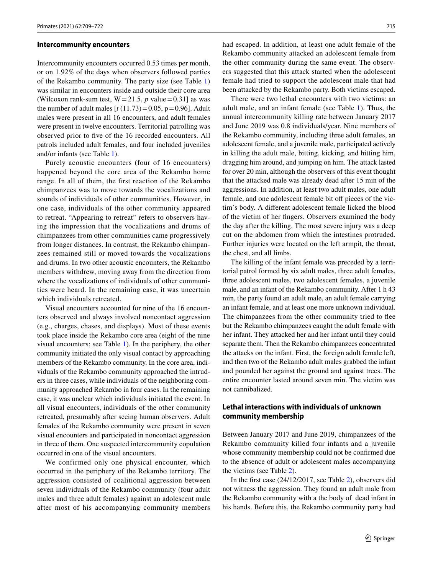#### **Intercommunity encounters**

Intercommunity encounters occurred 0.53 times per month, or on 1.92% of the days when observers followed parties of the Rekambo community. The party size (see Table [1\)](#page-4-0) was similar in encounters inside and outside their core area (Wilcoxon rank-sum test,  $W = 21.5$ , *p* value = 0.31] as was the number of adult males  $[t(11.73)=0.05, p=0.96]$ . Adult males were present in all 16 encounters, and adult females were present in twelve encounters. Territorial patrolling was observed prior to five of the 16 recorded encounters. All patrols included adult females, and four included juveniles and/or infants (see Table [1\)](#page-4-0).

Purely acoustic encounters (four of 16 encounters) happened beyond the core area of the Rekambo home range. In all of them, the frst reaction of the Rekambo chimpanzees was to move towards the vocalizations and sounds of individuals of other communities. However, in one case, individuals of the other community appeared to retreat. "Appearing to retreat" refers to observers having the impression that the vocalizations and drums of chimpanzees from other communities came progressively from longer distances. In contrast, the Rekambo chimpanzees remained still or moved towards the vocalizations and drums. In two other acoustic encounters, the Rekambo members withdrew, moving away from the direction from where the vocalizations of individuals of other communities were heard. In the remaining case, it was uncertain which individuals retreated.

Visual encounters accounted for nine of the 16 encounters observed and always involved noncontact aggression (e.g., charges, chases, and displays). Most of these events took place inside the Rekambo core area (eight of the nine visual encounters; see Table [1\)](#page-4-0). In the periphery, the other community initiated the only visual contact by approaching members of the Rekambo community. In the core area, individuals of the Rekambo community approached the intruders in three cases, while individuals of the neighboring community approached Rekambo in four cases. In the remaining case, it was unclear which individuals initiated the event. In all visual encounters, individuals of the other community retreated, presumably after seeing human observers. Adult females of the Rekambo community were present in seven visual encounters and participated in noncontact aggression in three of them. One suspected intercommunity copulation occurred in one of the visual encounters.

We confirmed only one physical encounter, which occurred in the periphery of the Rekambo territory. The aggression consisted of coalitional aggression between seven individuals of the Rekambo community (four adult males and three adult females) against an adolescent male after most of his accompanying community members had escaped. In addition, at least one adult female of the Rekambo community attacked an adolescent female from the other community during the same event. The observers suggested that this attack started when the adolescent female had tried to support the adolescent male that had been attacked by the Rekambo party. Both victims escaped.

There were two lethal encounters with two victims: an adult male, and an infant female (see Table [1](#page-4-0)). Thus, the annual intercommunity killing rate between January 2017 and June 2019 was 0.8 individuals/year. Nine members of the Rekambo community, including three adult females, an adolescent female, and a juvenile male, participated actively in killing the adult male, bitting, kicking, and hitting him, dragging him around, and jumping on him. The attack lasted for over 20 min, although the observers of this event thought that the attacked male was already dead after 15 min of the aggressions. In addition, at least two adult males, one adult female, and one adolescent female bit off pieces of the victim's body. A diferent adolescent female licked the blood of the victim of her fngers. Observers examined the body the day after the killing. The most severe injury was a deep cut on the abdomen from which the intestines protruded. Further injuries were located on the left armpit, the throat, the chest, and all limbs.

The killing of the infant female was preceded by a territorial patrol formed by six adult males, three adult females, three adolescent males, two adolescent females, a juvenile male, and an infant of the Rekambo community. After 1 h 43 min, the party found an adult male, an adult female carrying an infant female, and at least one more unknown individual. The chimpanzees from the other community tried to fee but the Rekambo chimpanzees caught the adult female with her infant. They attacked her and her infant until they could separate them. Then the Rekambo chimpanzees concentrated the attacks on the infant. First, the foreign adult female left, and then two of the Rekambo adult males grabbed the infant and pounded her against the ground and against trees. The entire encounter lasted around seven min. The victim was not cannibalized.

# **Lethal interactions with individuals of unknown community membership**

Between January 2017 and June 2019, chimpanzees of the Rekambo community killed four infants and a juvenile whose community membership could not be confrmed due to the absence of adult or adolescent males accompanying the victims (see Table [2](#page-5-0)).

In the frst case (24/12/2017, see Table [2\)](#page-5-0), observers did not witness the aggression. They found an adult male from the Rekambo community with a the body of dead infant in his hands. Before this, the Rekambo community party had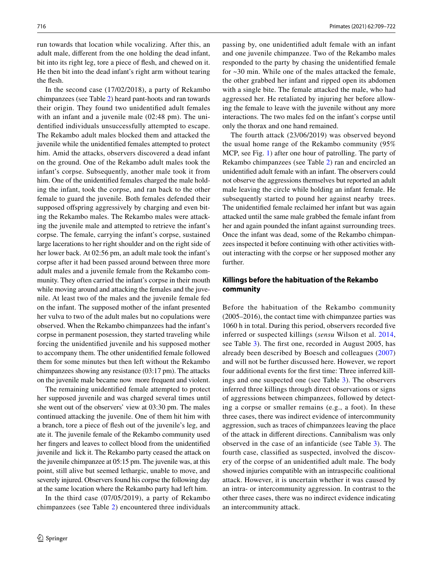run towards that location while vocalizing. After this, an adult male, diferent from the one holding the dead infant, bit into its right leg, tore a piece of flesh, and chewed on it. He then bit into the dead infant's right arm without tearing the flesh.

In the second case (17/02/2018), a party of Rekambo chimpanzees (see Table [2](#page-5-0)) heard pant-hoots and ran towards their origin. They found two unidentifed adult females with an infant and a juvenile male (02:48 pm). The unidentifed individuals unsuccessfully attempted to escape. The Rekambo adult males blocked them and attacked the juvenile while the unidentifed females attempted to protect him. Amid the attacks, observers discovered a dead infant on the ground. One of the Rekambo adult males took the infant's corpse. Subsequently, another male took it from him. One of the unidentifed females charged the male holding the infant, took the corpse, and ran back to the other female to guard the juvenile. Both females defended their supposed offspring aggressively by charging and even biting the Rekambo males. The Rekambo males were attacking the juvenile male and attempted to retrieve the infant's corpse. The female, carrying the infant's corpse, sustained large lacerations to her right shoulder and on the right side of her lower back. At 02:56 pm, an adult male took the infant's corpse after it had been passed around between three more adult males and a juvenile female from the Rekambo community. They often carried the infant's corpse in their mouth while moving around and attacking the females and the juvenile. At least two of the males and the juvenile female fed on the infant. The supposed mother of the infant presented her vulva to two of the adult males but no copulations were observed. When the Rekambo chimpanzees had the infant's corpse in permanent posession, they started traveling while forcing the unidentifed juvenile and his supposed mother to accompany them. The other unidentifed female followed them for some minutes but then left without the Rekambo chimpanzees showing any resistance (03:17 pm). The attacks on the juvenile male became now more frequent and violent.

The remaining unidentifed female attempted to protect her supposed juvenile and was charged several times until she went out of the observers' view at 03:30 pm. The males continued attacking the juvenile. One of them hit him with a branch, tore a piece of fesh out of the juvenile's leg, and ate it. The juvenile female of the Rekambo community used her fngers and leaves to collect blood from the unidentifed juvenile and lick it. The Rekambo party ceased the attack on the juvenile chimpanzee at 05:15 pm. The juvenile was, at this point, still alive but seemed lethargic, unable to move, and severely injured. Observers found his corpse the following day at the same location where the Rekambo party had left him.

In the third case (07/05/2019), a party of Rekambo chimpanzees (see Table [2\)](#page-5-0) encountered three individuals passing by, one unidentifed adult female with an infant and one juvenile chimpanzee. Two of the Rekambo males responded to the party by chasing the unidentifed female for ~30 min. While one of the males attacked the female, the other grabbed her infant and ripped open its abdomen with a single bite. The female attacked the male, who had aggressed her. He retaliated by injuring her before allowing the female to leave with the juvenile without any more interactions. The two males fed on the infant's corpse until only the thorax and one hand remained.

The fourth attack (23/06/2019) was observed beyond the usual home range of the Rekambo community (95% MCP, see Fig. [1\)](#page-3-0) after one hour of patrolling. The party of Rekambo chimpanzees (see Table [2](#page-5-0)) ran and encircled an unidentifed adult female with an infant. The observers could not observe the aggressions themselves but reported an adult male leaving the circle while holding an infant female. He subsequently started to pound her against nearby trees. The unidentifed female reclaimed her infant but was again attacked until the same male grabbed the female infant from her and again pounded the infant against surrounding trees. Once the infant was dead, some of the Rekambo chimpanzees inspected it before continuing with other activities without interacting with the corpse or her supposed mother any further.

### **Killings before the habituation of the Rekambo community**

Before the habituation of the Rekambo community (2005–2016), the contact time with chimpanzee parties was 1060 h in total. During this period, observers recorded fve inferred or suspected killings (*sensu* Wilson et al. [2014,](#page-13-5) see Table [3\)](#page-5-1). The frst one, recorded in August 2005, has already been described by Boesch and colleagues [\(2007\)](#page-12-15) and will not be further discussed here. However, we report four additional events for the frst time: Three inferred killings and one suspected one (see Table [3\)](#page-5-1). The observers inferred three killings through direct observations or signs of aggressions between chimpanzees, followed by detecting a corpse or smaller remains (e.g., a foot). In these three cases, there was indirect evidence of intercommunity aggression, such as traces of chimpanzees leaving the place of the attack in diferent directions. Cannibalism was only observed in the case of an infanticide (see Table [3](#page-5-1)). The fourth case, classifed as suspected, involved the discovery of the corpse of an unidentifed adult male. The body showed injuries compatible with an intraspecifc coalitional attack. However, it is uncertain whether it was caused by an intra- or intercommunity aggression. In contrast to the other three cases, there was no indirect evidence indicating an intercommunity attack.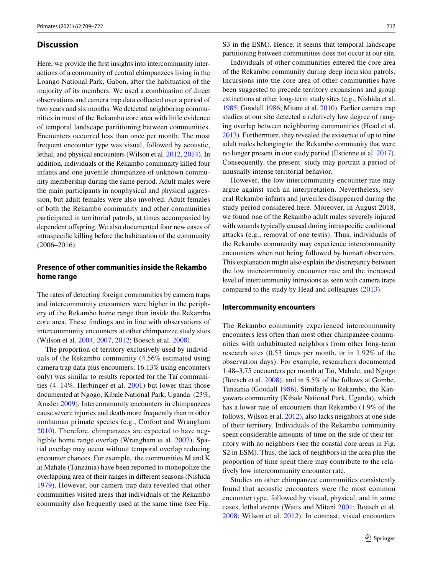### **Discussion**

Here, we provide the frst insights into intercommunity interactions of a community of central chimpanzees living in the Loango National Park, Gabon, after the habituation of the majority of its members. We used a combination of direct observations and camera trap data collected over a period of two years and six months. We detected neighboring communities in most of the Rekambo core area with little evidence of temporal landscape partitioning between communities. Encounters occurred less than once per month. The most frequent encounter type was visual, followed by acoustic, lethal, and physical encounters (Wilson et al. [2012](#page-13-8), [2014\)](#page-13-5). In addition, individuals of the Rekambo community killed four infants and one juvenile chimpanzee of unknown community membership during the same period. Adult males were the main participants in nonphysical and physical aggression, but adult females were also involved. Adult females of both the Rekambo community and other communities participated in territorial patrols, at times accompanied by dependent ofspring. We also documented four new cases of intraspecifc killing before the habituation of the community (2006–2016).

# **Presence of other communities inside the Rekambo home range**

The rates of detecting foreign communities by camera traps and intercommunity encounters were higher in the periphery of the Rekambo home range than inside the Rekambo core area. These fndings are in line with observations of intercommunity encounters at other chimpanzee study sites (Wilson et al. [2004](#page-13-4), [2007](#page-13-9), [2012](#page-13-8); Boesch et al. [2008\)](#page-12-12).

The proportion of territory exclusively used by individuals of the Rekambo community (4.56% estimated using camera trap data plus encounters; 16.13% using encounters only) was similar to results reported for the Taï communities (4–14%, Herbinger et al. [2001](#page-12-6)) but lower than those documented at Ngogo, Kibale National Park, Uganda (23%, Amsler [2009\)](#page-12-7). Intercommunity encounters in chimpanzees cause severe injuries and death more frequently than in other nonhuman primate species (e.g., Crofoot and Wrangham [2010\)](#page-12-10). Therefore, chimpanzees are expected to have negligible home range overlap (Wrangham et al. [2007](#page-13-10)). Spatial overlap may occur without temporal overlap reducing encounter chances. For example, the communities M and K at Mahale (Tanzania) have been reported to monopolize the overlapping area of their ranges in diferent seasons (Nishida [1979\)](#page-12-2). However, our camera trap data revealed that other communities visited areas that individuals of the Rekambo community also frequently used at the same time (see Fig.

S3 in the ESM). Hence, it seems that temporal landscape partitioning between communities does not occur at our site.

Individuals of other communities entered the core area of the Rekambo community during deep incursion patrols. Incursions into the core area of other communities have been suggested to precede territory expansions and group extinctions at other long-term study sites (e.g., Nishida et al. [1985](#page-12-8); Goodall [1986](#page-12-3); Mitani et al. [2010](#page-12-11)). Earlier camera trap studies at our site detected a relatively low degree of ranging overlap between neighboring communities (Head et al. [2013\)](#page-12-18). Furthermore, they revealed the existence of up to nine adult males belonging to the Rekambo community that were no longer present in our study period (Estienne et al. [2017](#page-12-24)). Consequently, the present study may portrait a period of unusually intense territorial behavior.

However, the low intercommunity encounter rate may argue against such an interpretation. Nevertheless, several Rekambo infants and juveniles disappeared during the study period considered here. Moreover, in August 2018, we found one of the Rekambo adult males severely injured with wounds typically caused during intraspecifc coalitional attacks (e.g., removal of one testis). Thus, individuals of the Rekambo community may experience intercommunity encounters when not being followed by human̄ observers. This explanation might also explain the discrepancy between the low intercommunity encounter rate and the increased level of intercommunity intrusions as seen with camera traps compared to the study by Head and colleagues [\(2013\)](#page-12-18).

#### **Intercommunity encounters**

The Rekambo community experienced intercommunity encounters less often than most other chimpanzee communities with unhabituated neighbors from other long-term research sites (0.53 times per month, or in 1.92% of the observation days). For example, researchers documented 1.48–3.75 encounters per month at Taï, Mahale, and Ngogo (Boesch et al. [2008](#page-12-12)), and in 5.5% of the follows at Gombe, Tanzania (Goodall [1986\)](#page-12-3). Similarly to Rekambo, the Kanyawara community (Kibale National Park, Uganda), which has a lower rate of encounters than Rekambo (1.9% of the follows, Wilson et al. [2012\)](#page-13-8), also lacks neighbors at one side of their territory. Individuals of the Rekambo community spent considerable amounts of time on the side of their territory with no neighbors (see the coastal core areas in Fig. S2 in ESM). Thus, the lack of neighbors in the area plus the proportion of time spent there may contribute to the relatively low intercommunity encounter rate.

Studies on other chimpanzee communities consistently found that acoustic encounters were the most common encounter type, followed by visual, physical, and in some cases, lethal events (Watts and Mitani [2001;](#page-13-11) Boesch et al. [2008;](#page-12-12) Wilson et al. [2012\)](#page-13-8). In contrast, visual encounters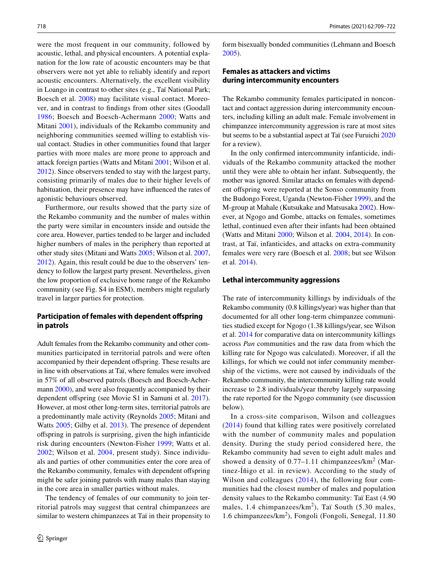were the most frequent in our community, followed by acoustic, lethal, and physical encounters. A potential explanation for the low rate of acoustic encounters may be that observers were not yet able to reliably identify and report acoustic encounters. Alternatively, the excellent visibility in Loango in contrast to other sites (e.g., Taï National Park; Boesch et al. [2008\)](#page-12-12) may facilitate visual contact. Moreover, and in contrast to fndings from other sites (Goodall [1986](#page-12-3); Boesch and Boesch-Achermann [2000;](#page-12-4) Watts and Mitani [2001](#page-13-11)), individuals of the Rekambo community and neighboring communities seemed willing to establish visual contact. Studies in other communities found that larger parties with more males are more prone to approach and attack foreign parties (Watts and Mitani [2001](#page-13-11); Wilson et al. [2012](#page-13-8)). Since observers tended to stay with the largest party, consisting primarily of males due to their higher levels of habituation, their presence may have infuenced the rates of agonistic behaviours observed.

Furthermore, our results showed that the party size of the Rekambo community and the number of males within the party were similar in encounters inside and outside the core area. However, parties tended to be larger and included higher numbers of males in the periphery than reported at other study sites (Mitani and Watts [2005](#page-12-9); Wilson et al. [2007,](#page-13-9) [2012](#page-13-8)). Again, this result could be due to the observers' tendency to follow the largest party present. Nevertheless, given the low proportion of exclusive home range of the Rekambo community (see Fig. S4 in ESM), members might regularly travel in larger parties for protection.

# **Participation of females with dependent ofspring in patrols**

Adult females from the Rekambo community and other communities participated in territorial patrols and were often accompanied by their dependent ofspring. These results are in line with observations at Taï, where females were involved in 57% of all observed patrols (Boesch and Boesch-Acher-mann [2000\)](#page-12-4), and were also frequently accompanied by their dependent offspring (see Movie S1 in Samuni et al. [2017](#page-13-12)). However, at most other long-term sites, territorial patrols are a predominantly male activity (Reynolds [2005](#page-13-13); Mitani and Watts [2005;](#page-12-9) Gilby et al. [2013](#page-12-25)). The presence of dependent ofspring in patrols is surprising, given the high infanticide risk during encounters (Newton-Fisher [1999](#page-12-26); Watts et al. [2002;](#page-13-14) Wilson et al. [2004,](#page-13-4) present study). Since individuals and parties of other communities enter the core area of the Rekambo community, females with dependent offspring might be safer joining patrols with many males than staying in the core area in smaller parties without males.

The tendency of females of our community to join territorial patrols may suggest that central chimpanzees are similar to western chimpanzees at Taï in their propensity to form bisexually bonded communities (Lehmann and Boesch [2005](#page-12-27)).

# **Females as attackers and victims during intercommunity encounters**

The Rekambo community females participated in noncontact and contact aggression during intercommunity encounters, including killing an adult male. Female involvement in chimpanzee intercommunity aggression is rare at most sites but seems to be a substantial aspect at Taï (see Furuichi [2020](#page-12-5) for a review).

In the only confrmed intercommunity infanticide, individuals of the Rekambo community attacked the mother until they were able to obtain her infant. Subsequently, the mother was ignored. Similar attacks on females with dependent ofspring were reported at the Sonso community from the Budongo Forest, Uganda (Newton-Fisher [1999](#page-12-26)), and the M-group at Mahale (Kutsukake and Matsusaka [2002](#page-12-28)). However, at Ngogo and Gombe, attacks on females, sometimes lethal, continued even after their infants had been obtained (Watts and Mitani [2000](#page-13-15); Wilson et al. [2004,](#page-13-4) [2014\)](#page-13-5). In contrast, at Taï, infanticides, and attacks on extra-community females were very rare (Boesch et al. [2008;](#page-12-12) but see Wilson et al. [2014](#page-13-5)).

#### **Lethal intercommunity aggressions**

The rate of intercommunity killings by individuals of the Rekambo community (0.8 killings/year) was higher than that documented for all other long-term chimpanzee communities studied except for Ngogo (1.38 killings/year, see Wilson et al. [2014](#page-13-5) for comparative data on intercommunity killings across *Pan* communities and the raw data from which the killing rate for Ngogo was calculated). Moreover, if all the killings, for which we could not infer community membership of the victims, were not caused by individuals of the Rekambo community, the intercommunity killing rate would increase to 2.8 individuals/year thereby largely surpassing the rate reported for the Ngogo community (see discussion below).

In a cross-site comparison, Wilson and colleagues ([2014](#page-13-5)) found that killing rates were positively correlated with the number of community males and population density. During the study period considered here, the Rekambo community had seven to eight adult males and showed a density of  $0.77-1.11$  chimpanzees/km<sup>2</sup> (Martinez-Íñigo et al. in review). According to the study of Wilson and colleagues ([2014\)](#page-13-5), the following four communities had the closest number of males and population density values to the Rekambo community: Taï East (4.90 males, 1.4 chimpanzees/ $km^2$ ), Taï South (5.30 males, 1.6 chimpanzees/km<sup>2</sup> ), Fongoli (Fongoli, Senegal, 11.80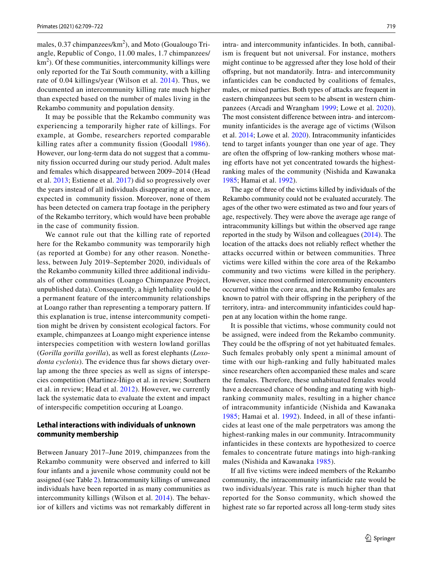males,  $0.37$  chimpanzees/ $km^2$ ), and Moto (Goualougo Triangle, Republic of Congo, 11.00 males, 1.7 chimpanzees/ km<sup>2</sup>). Of these communities, intercommunity killings were only reported for the Taï South community, with a killing rate of 0.04 killings/year (Wilson et al. [2014](#page-13-5)). Thus, we documented an intercommunity killing rate much higher than expected based on the number of males living in the Rekambo community and population density.

It may be possible that the Rekambo community was experiencing a temporarily higher rate of killings. For example, at Gombe, researchers reported comparable killing rates after a community fssion (Goodall [1986](#page-12-3)). However, our long-term data do not suggest that a community fssion occurred during our study period. Adult males and females which disappeared between 2009–2014 (Head et al. [2013](#page-12-18); Estienne et al. [2017](#page-12-24)) did so progressively over the years instead of all individuals disappearing at once, as expected in community fssion. Moreover, none of them has been detected on camera trap footage in the periphery of the Rekambo territory, which would have been probable in the case of community fission.

We cannot rule out that the killing rate of reported here for the Rekambo community was temporarily high (as reported at Gombe) for any other reason. Nonetheless, between July 2019–September 2020, individuals of the Rekambo community killed three additional individuals of other communities (Loango Chimpanzee Project, unpublished data). Consequently, a high lethality could be a permanent feature of the intercommunity relationships at Loango rather than representing a temporary pattern. If this explanation is true, intense intercommunity competition might be driven by consistent ecological factors. For example, chimpanzees at Loango might experience intense interspecies competition with western lowland gorillas (*Gorilla gorilla gorilla*), as well as forest elephants (*Loxodonta cyclotis*). The evidence thus far shows dietary overlap among the three species as well as signs of interspecies competition (Martinez-Íñigo et al. in review; Southern et al. in review; Head et al. [2012](#page-12-29)). However, we currently lack the systematic data to evaluate the extent and impact of interspecifc competition occuring at Loango.

# **Lethal interactions with individuals of unknown community membership**

Between January 2017–June 2019, chimpanzees from the Rekambo community were observed and inferred to kill four infants and a juvenile whose community could not be assigned (see Table [2](#page-5-0)). Intracommunity killings of unweaned individuals have been reported in as many communities as intercommunity killings (Wilson et al. [2014\)](#page-13-5). The behavior of killers and victims was not remarkably diferent in intra- and intercommunity infanticides. In both, cannibalism is frequent but not universal. For instance, mothers might continue to be aggressed after they lose hold of their ofspring, but not mandatorily. Intra- and intercommunity infanticides can be conducted by coalitions of females, males, or mixed parties. Both types of attacks are frequent in eastern chimpanzees but seem to be absent in western chimpanzees (Arcadi and Wrangham [1999;](#page-12-30) Lowe et al. [2020](#page-12-31)). The most consistent diference between intra- and intercommunity infanticides is the average age of victims (Wilson et al. [2014](#page-13-5); Lowe et al. [2020](#page-12-31)). Intracommunity infanticides tend to target infants younger than one year of age. They are often the ofspring of low-ranking mothers whose mating efforts have not yet concentrated towards the highestranking males of the community (Nishida and Kawanaka [1985](#page-12-32); Hamai et al. [1992](#page-12-33)).

The age of three of the victims killed by individuals of the Rekambo community could not be evaluated accurately. The ages of the other two were estimated as two and four years of age, respectively. They were above the average age range of intracommunity killings but within the observed age range reported in the study by Wilson and colleagues [\(2014](#page-13-5)). The location of the attacks does not reliably refect whether the attacks occurred within or between communities. Three victims were killed within the core area of the Rekambo community and two victims were killed in the periphery. However, since most confrmed intercommunity encounters occurred within the core area, and the Rekambo females are known to patrol with their offspring in the periphery of the territory, intra- and intercommunity infanticides could happen at any location within the home range.

It is possible that victims, whose community could not be assigned, were indeed from the Rekambo community. They could be the offspring of not yet habituated females. Such females probably only spent a minimal amount of time with our high-ranking and fully habituated males since researchers often accompanied these males and scare the females. Therefore, these unhabituated females would have a decreased chance of bonding and mating with highranking community males, resulting in a higher chance of intracommunity infanticide (Nishida and Kawanaka [1985](#page-12-32); Hamai et al. [1992\)](#page-12-33). Indeed, in all of these infanticides at least one of the male perpetrators was among the highest-ranking males in our community. Intracommunity infanticides in these contexts are hypothesized to coerce females to concentrate future matings into high-ranking males (Nishida and Kawanaka [1985\)](#page-12-32).

If all fve victims were indeed members of the Rekambo community, the intracommunity infanticide rate would be two individuals/year. This rate is much higher than that reported for the Sonso community, which showed the highest rate so far reported across all long-term study sites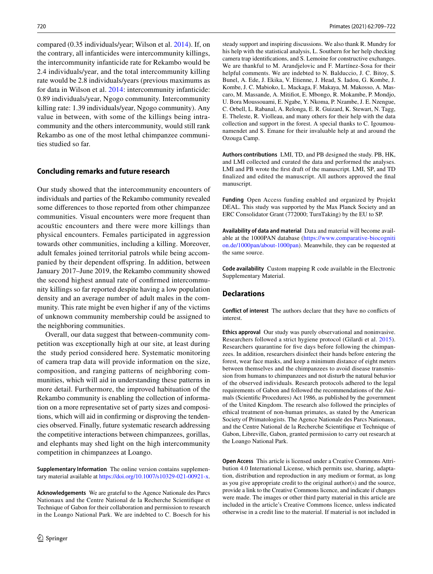compared (0.35 individuals/year; Wilson et al. [2014](#page-13-5)). If, on the contrary, all infanticides were intercommunity killings, the intercommunity infanticide rate for Rekambo would be 2.4 individuals/year, and the total intercommunity killing rate would be 2.8 individuals/years (previous maximums as for data in Wilson et al. [2014:](#page-13-5) intercommunity infanticide: 0.89 individuals/year, Ngogo community. Intercommunity killing rate: 1.39 individuals/year, Ngogo community). Any value in between, with some of the killings being intracommunity and the others intercommunity, would still rank Rekambo as one of the most lethal chimpanzee communities studied so far.

### **Concluding remarks and future research**

Our study showed that the intercommunity encounters of individuals and parties of the Rekambo community revealed some diferences to those reported from other chimpanzee communities. Visual encounters were more frequent than acous̄tic encounters and there were more killings than physical encounters. Females participated in aggression towards other communities, including a killing. Moreover, adult females joined territorial patrols while being accompanied by their dependent ofspring. In addition, between January 2017–June 2019, the Rekambo community showed the second highest annual rate of confrmed intercommunity killings so far reported despite having a low population density and an average number of adult males in the community. This rate might be even higher if any of the victims of unknown community membership could be assigned to the neighboring communities.

Overall, our data suggest that between-community competition was exceptionally high at our site, at least during the study period considered here. Systematic monitoring of camera trap data will provide information on the size, composition, and ranging patterns of neighboring communities, which will aid in understanding these patterns in more detail. Furthermore, the improved habituation of the Rekambo community is enabling the collection of information on a more representative set of party sizes and compositions, which will aid in confrming or disproving the tendencies observed. Finally, future systematic research addressing the competitive interactions between chimpanzees, gorillas, and elephants may shed light on the high intercommunity competition in chimpanzees at Loango.

**Supplementary Information** The online version contains supplementary material available at<https://doi.org/10.1007/s10329-021-00921-x>.

**Acknowledgements** We are grateful to the Agence Nationale des Parcs Nationaux and the Centre National de la Recherche Scientifque et Technique of Gabon for their collaboration and permission to research in the Loango National Park. We are indebted to C. Boesch for his

steady support and inspiring discussions. We also thank R. Mundry for his help with the statistical analysis, L. Southern for her help checking camera trap identifcations, and S. Lemoine for constructive exchanges. We are thankful to M. Arandjelovic and F. Martínez-Sosa for their helpful comments. We are indebted to N. Balduccio, J. C. Bitoy, S. Bunel, A. Ede, J. Ekika, V. Etienne, J. Head, S. Iadou, G. Kombe, J. Kombe, J. C. Mabioko, L. Mackaga, F. Makaya, M. Makosso, A. Mascaro, M. Massande, A. Mitifot, E. Mbongo, R. Mokambe, P. Mondjo, U. Bora Moussouami, E. Ngabe, Y. Nkoma, P. Nzambe, J. E. Nzengue, C. Orbell, L. Rabanal, A. Relonga, E. R. Guizard, K. Stewart, N. Tagg, E. Theleste, R. Violleau, and many others for their help with the data collection and support in the forest. A special thanks to C. Igoumounamendet and S. Emane for their invaluable help at and around the Ozouga Camp.

**Authors contributions** LMI, TD, and PB designed the study. PB, HK, and LMI collected and curated the data and performed the analyses. LMI and PB wrote the frst draft of the manuscript. LMI, SP, and TD fnalized and edited the manuscript. All authors approved the fnal manuscript.

**Funding** Open Access funding enabled and organized by Projekt DEAL. This study was supported by the Max Planck Society and an ERC Consolidator Grant (772000; TurnTaking) by the EU to SP.

**Availability of data and material** Data and material will become available at the 1000PAN database ([https://www.comparative-biocogniti](https://www.comparative-biocognition.de/1000pan/about-1000pan) [on.de/1000pan/about-1000pan\)](https://www.comparative-biocognition.de/1000pan/about-1000pan). Meanwhile, they can be requested at the same source.

**Code availability** Custom mapping R code available in the Electronic Supplementary Material.

### **Declarations**

**Conflict of interest** The authors declare that they have no conficts of interest.

**Ethics approval** Our study was purely observational and noninvasive. Researchers followed a strict hygiene protocol (Gilardi et al. [2015](#page-12-34)). Researchers quarantine for fve days before following the chimpanzees. In addition, researchers disinfect their hands before entering the forest, wear face masks, and keep a minimum distance of eight meters between themselves and the chimpanzees to avoid disease transmission from humans to chimpanzees and not disturb the natural behavior of the observed individuals. Research protocols adhered to the legal requirements of Gabon and followed the recommendations of the Animals (Scientifc Procedures) Act 1986, as published by the government of the United Kingdom. The research also followed the principles of ethical treatment of non-human primates, as stated by the American Society of Primatologists. The Agence Nationale des Parcs Nationaux, and the Centre National de la Recherche Scientifque et Technique of Gabon, Libreville, Gabon, granted permission to carry out research at the Loango National Park.

**Open Access** This article is licensed under a Creative Commons Attribution 4.0 International License, which permits use, sharing, adaptation, distribution and reproduction in any medium or format, as long as you give appropriate credit to the original author(s) and the source, provide a link to the Creative Commons licence, and indicate if changes were made. The images or other third party material in this article are included in the article's Creative Commons licence, unless indicated otherwise in a credit line to the material. If material is not included in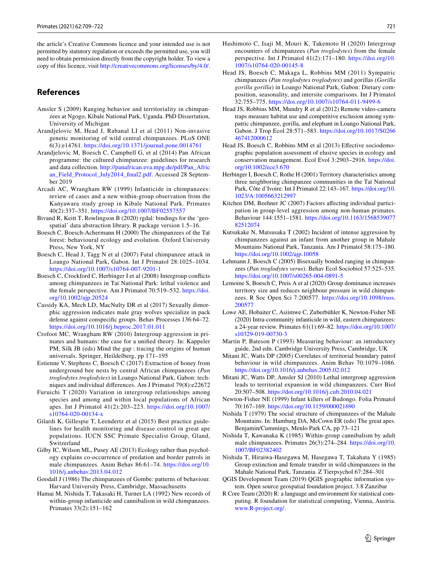the article's Creative Commons licence and your intended use is not permitted by statutory regulation or exceeds the permitted use, you will need to obtain permission directly from the copyright holder. To view a copy of this licence, visit <http://creativecommons.org/licenses/by/4.0/>.

# **References**

- <span id="page-12-7"></span>Amsler S (2009) Ranging behavior and territoriality in chimpanzees at Ngogo, Kibale National Park, Uganda. PhD Dissertation, University of Michigan
- <span id="page-12-17"></span>Arandjelovic M, Head J, Rabanal LI et al (2011) Non-invasive genetic monitoring of wild central chimpanzees. PLoS ONE 6(3):e14761. <https://doi.org/10.1371/journal.pone.0014761>
- <span id="page-12-20"></span>Arandjelovic M, Boesch C, Campbell G, et al (2014) Pan African programme: the cultured chimpanzee: guidelines for research and data collection. [http://panafrican.eva.mpg.de/pdf/Pan\\_Afric](http://panafrican.eva.mpg.de/pdf/Pan_African_Field_Protocol_July2014_final2.pdf) [an\\_Field\\_Protocol\\_July2014\\_fnal2.pdf.](http://panafrican.eva.mpg.de/pdf/Pan_African_Field_Protocol_July2014_final2.pdf) Accessed 28 September 2019
- <span id="page-12-30"></span>Arcadi AC, Wrangham RW (1999) Infanticide in chimpanzees: review of cases and a new within-group observation from the Kanyawara study group in Kibale National Park. Primates 40(2):337–351.<https://doi.org/10.1007/BF02557557>
- <span id="page-12-22"></span>Bivand R, Keitt T, Rowlingson B (2020) rgdal: bindings for the 'geospatial' data abstraction library. R package version 1.5–16.
- <span id="page-12-4"></span>Boesch C, Boesch-Achermann H (2000) The chimpanzees of the Taï forest: behavioural ecology and evolution. Oxford University Press, New York, NY
- <span id="page-12-15"></span>Boesch C, Head J, Tagg N et al (2007) Fatal chimpanzee attack in Loango National Park, Gabon. Int J Primatol 28:1025–1034. <https://doi.org/10.1007/s10764-007-9201-1>
- <span id="page-12-12"></span>Boesch C, Crockford C, Herbinger I et al (2008) Intergroup conficts among chimpanzees in Taï National Park: lethal violence and the female perspective. Am J Primatol 70:519–532. [https://doi.](https://doi.org/10.1002/ajp.20524) [org/10.1002/ajp.20524](https://doi.org/10.1002/ajp.20524)
- <span id="page-12-0"></span>Cassidy KA, Mech LD, MacNulty DR et al (2017) Sexually dimorphic aggression indicates male gray wolves specialize in pack defense against conspecifc groups. Behav Processes 136:64–72. <https://doi.org/10.1016/j.beproc.2017.01.011>
- <span id="page-12-10"></span>Crofoot MC, Wrangham RW (2010) Intergroup aggression in primates and humans: the case for a unifed theory. In: Kappeler PM, Silk JB (eds) Mind the gap : tracing the origins of human universals. Springer, Heildelberg, pp 171–195
- <span id="page-12-24"></span>Estienne V, Stephens C, Boesch C (2017) Extraction of honey from underground bee nests by central African chimpanzees (*Pan troglodytes troglodytes*) in Loango National Park, Gabon: techniques and individual diferences. Am J Primatol 79(8):e22672
- <span id="page-12-5"></span>Furuichi T (2020) Variation in intergroup relationships among species and among and within local populations of African apes. Int J Primatol 41(2):203–223. [https://doi.org/10.1007/](https://doi.org/10.1007/s10764-020-00134-x) [s10764-020-00134-x](https://doi.org/10.1007/s10764-020-00134-x)
- <span id="page-12-34"></span>Gilardi K, Gillespie T, Leendertz et al (2015) Best practice guidelines for health monitoring and disease control in great ape populations. IUCN SSC Primate Specialist Group, Gland, Switzerland
- <span id="page-12-25"></span>Gilby IC, Wilson ML, Pusey AE (2013) Ecology rather than psychology explains co-occurrence of predation and border patrols in male chimpanzees. Anim Behav 86:61–74. [https://doi.org/10.](https://doi.org/10.1016/j.anbehav.2013.04.012) [1016/j.anbehav.2013.04.012](https://doi.org/10.1016/j.anbehav.2013.04.012)
- <span id="page-12-3"></span>Goodall J (1986) The chimpanzees of Gombe: patterns of behaviour. Harvard University Press, Cambridge, Massachusetts
- <span id="page-12-33"></span>Hamai M, Nishida T, Takasaki H, Turner LA (1992) New records of within-group infanticide and cannibalism in wild chimpanzees. Primates 33(2):151–162
- <span id="page-12-13"></span>Hashimoto C, Isaji M, Mouri K, Takemoto H (2020) Intergroup encounters of chimpanzees (*Pan troglodytes*) from the female perspective. Int J Primatol 41(2):171–180. [https://doi.org/10.](https://doi.org/10.1007/s10764-020-00145-8) [1007/s10764-020-00145-8](https://doi.org/10.1007/s10764-020-00145-8)
- <span id="page-12-16"></span>Head JS, Boesch C, Makaga L, Robbins MM (2011) Sympatric chimpanzees (*Pan troglodytes troglodytes*) and gorillas (*Gorilla gorilla gorilla*) in Loango National Park, Gabon: Dietary composition, seasonality, and intersite comparisons. Int J Primatol 32:755–775. <https://doi.org/10.1007/s10764-011-9499-6>
- <span id="page-12-29"></span>Head JS, Robbins MM, Mundry R et al (2012) Remote video-camera traps measure habitat use and competitive exclusion among sympatric chimpanzee, gorilla, and elephant in Loango National Park, Gabon. J Trop Ecol 28:571–583. [https://doi.org/10.1017/S0266](https://doi.org/10.1017/S0266467412000612) [467412000612](https://doi.org/10.1017/S0266467412000612)
- <span id="page-12-18"></span>Head JS, Boesch C, Robbins MM et al (2013) Effective sociodemographic population assessment of elusive species in ecology and conservation management. Ecol Evol 3:2903–2916. [https://doi.](https://doi.org/10.1002/ece3.670) [org/10.1002/ece3.670](https://doi.org/10.1002/ece3.670)
- <span id="page-12-6"></span>Herbinger I, Boesch C, Rothe H (2001) Territory characteristics among three neighboring chimpanzee communities in the Taï National Park, Côte d'Ivoire. Int J Primatol 22:143–167. [https://doi.org/10.](https://doi.org/10.1023/A:1005663212997) [1023/A:1005663212997](https://doi.org/10.1023/A:1005663212997)
- <span id="page-12-1"></span>Kitchen DM, Beehner JC (2007) Factors afecting individual participation in group-level aggression among non-human primates. Behaviour 144:1551–1581. [https://doi.org/10.1163/1568539077](https://doi.org/10.1163/156853907782512074) [82512074](https://doi.org/10.1163/156853907782512074)
- <span id="page-12-28"></span>Kutsukake N, Matsusaka T (2002) Incident of intense aggression by chimpanzees against an infant from another group in Mahale Mountains National Park, Tanzania. Am J Primatol 58:175–180. <https://doi.org/10.1002/ajp.10058>
- <span id="page-12-27"></span>Lehmann J, Boesch C (2005) Bisexually bonded ranging in chimpanzees (*Pan troglodytes verus*). Behav Ecol Sociobiol 57:525–535. <https://doi.org/10.1007/s00265-004-0891-5>
- <span id="page-12-14"></span>Lemoine S, Boesch C, Preis A et al (2020) Group dominance increases territory size and reduces neighbour pressure in wild chimpanzees. R Soc Open Sci 7:200577. [https://doi.org/10.1098/rsos.](https://doi.org/10.1098/rsos.200577) [200577](https://doi.org/10.1098/rsos.200577)
- <span id="page-12-31"></span>Lowe AE, Hobaiter C, Asiimwe C, Zuberbühler K, Newton-Fisher NE (2020) Intra-community infanticide in wild, eastern chimpanzees: a 24-year review. Primates 61(1):69–82. [https://doi.org/10.1007/](https://doi.org/10.1007/s10329-019-00730-3) [s10329-019-00730-3](https://doi.org/10.1007/s10329-019-00730-3)
- <span id="page-12-19"></span>Martin P, Bateson P (1993) Measuring behaviour: an introductory guide, 2nd edn. Cambridge University Press, Cambridge, UK
- <span id="page-12-9"></span>Mitani JC, Watts DP (2005) Correlates of territorial boundary patrol behaviour in wild chimpanzees. Anim Behav 70:1079–1086. <https://doi.org/10.1016/j.anbehav.2005.02.012>
- <span id="page-12-11"></span>Mitani JC, Watts DP, Amsler SJ (2010) Lethal intergroup aggression leads to territorial expansion in wild chimpanzees. Curr Biol 20:507–508.<https://doi.org/10.1016/j.cub.2010.04.021>
- <span id="page-12-26"></span>Newton-Fisher NE (1999) Infant killers of Budongo. Folia Primatol 70:167–169.<https://doi.org/10.1159/000021690>
- <span id="page-12-2"></span>Nishida T (1979) The social structure of chimpanzees of the Mahale Mountains. In: Hamburg DA, McCown ER (eds) The great apes. Benjamin/Cummings, Menlo Park CA, pp 73–121
- <span id="page-12-32"></span>Nishida T, Kawanaka K (1985) Within-group cannibalism by adult male chimpanzees. Primates 26(3):274–284. [https://doi.org/10.](https://doi.org/10.1007/BF02382402) [1007/BF02382402](https://doi.org/10.1007/BF02382402)
- <span id="page-12-8"></span>Nishida T, Hiraiwa-Hasegawa M, Hasegawa T, Takahata Y (1985) Group extinction and female transfer in wild chimpanzees in the Mahale National Park, Tanzania. Z Tierpsychol 67:284–301
- <span id="page-12-23"></span>QGIS Development Team (2019) QGIS geographic information system. Open source geospatial foundation project. 3.8 Zanzibar
- <span id="page-12-21"></span>R Core Team (2020) R: a language and environment for statistical computing. R foundation for statistical computing, Vienna, Austria. [www.R-project.org/](http://www.R-project.org/).